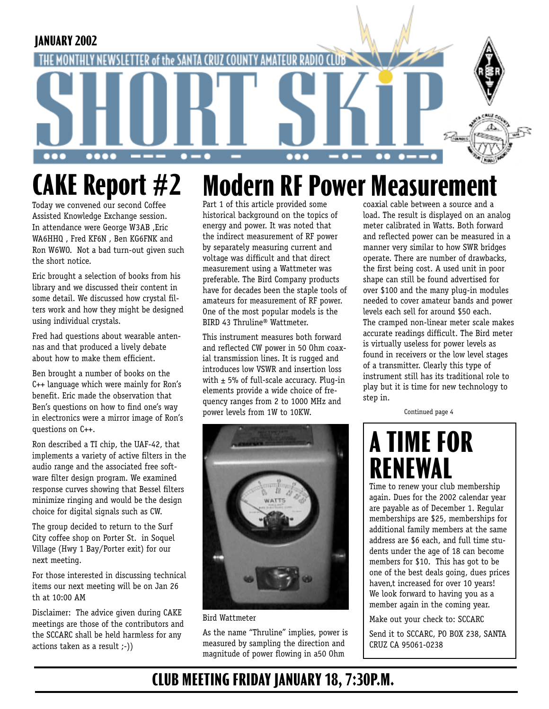

## **Modern RF Power Measuremer CAKE Report #2**

Today we convened our second Coffee Assisted Knowledge Exchange session. In attendance were George W3AB ,Eric WA6HHQ , Fred KF6N , Ben KG6FNK and Ron W6WO. Not a bad turn-out given such the short notice.

Eric brought a selection of books from his library and we discussed their content in some detail. We discussed how crystal filters work and how they might be designed using individual crystals.

Fred had questions about wearable antennas and that produced a lively debate about how to make them efficient.

Ben brought a number of books on the C++ language which were mainly for Ron's benefit. Eric made the observation that Ben's questions on how to find one's way in electronics were a mirror image of Ron's questions on C++.

Ron described a TI chip, the UAF-42, that implements a variety of active filters in the audio range and the associated free software filter design program. We examined response curves showing that Bessel filters minimize ringing and would be the design choice for digital signals such as CW.

The group decided to return to the Surf City coffee shop on Porter St. in Soquel Village (Hwy 1 Bay/Porter exit) for our next meeting.

For those interested in discussing technical items our next meeting will be on Jan 26 th at 10:00 AM

Disclaimer: The advice given during CAKE meetings are those of the contributors and the SCCARC shall be held harmless for any actions taken as a result ;-))

Part 1 of this article provided some historical background on the topics of energy and power. It was noted that the indirect measurement of RF power by separately measuring current and voltage was difficult and that direct measurement using a Wattmeter was preferable. The Bird Company products have for decades been the staple tools of amateurs for measurement of RF power. One of the most popular models is the BIRD 43 Thruline® Wattmeter.

This instrument measures both forward and reflected CW power in 50 Ohm coaxial transmission lines. It is rugged and introduces low VSWR and insertion loss with  $\pm$  5% of full-scale accuracy. Plug-in elements provide a wide choice of frequency ranges from 2 to 1000 MHz and power levels from 1W to 10KW.



Bird Wattmeter

As the name "Thruline" implies, power is measured by sampling the direction and magnitude of power flowing in a50 Ohm

coaxial cable between a source and a load. The result is displayed on an analog meter calibrated in Watts. Both forward and reflected power can be measured in a manner very similar to how SWR bridges operate. There are number of drawbacks, the first being cost. A used unit in poor shape can still be found advertised for over \$100 and the many plug-in modules needed to cover amateur bands and power levels each sell for around \$50 each. The cramped non-linear meter scale makes accurate readings difficult. The Bird meter is virtually useless for power levels as found in receivers or the low level stages of a transmitter. Clearly this type of instrument still has its traditional role to play but it is time for new technology to step in.

Continued page 4

# **A TIME FOR RENEWAL**

Time to renew your club membership again. Dues for the 2002 calendar year are payable as of December 1. Regular memberships are \$25, memberships for additional family members at the same address are \$6 each, and full time students under the age of 18 can become members for \$10. This has got to be one of the best deals going, dues prices haven,t increased for over 10 years! We look forward to having you as a member again in the coming year.

Make out your check to: SCCARC

Send it to SCCARC, PO BOX 238, SANTA CRUZ CA 95061-0238

## **CLUB MEETING FRIDAY JANUARY 18, 7:30P.M.**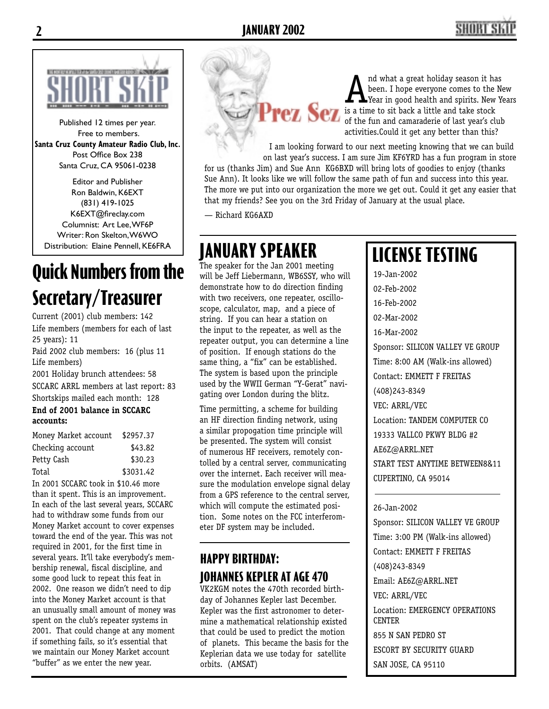

Published 12 times per year. Free to members. **Santa Cruz County Amateur Radio Club, Inc.** Post Office Box 238 Santa Cruz, CA 95061-0238

Editor and Publisher Ron Baldwin, K6EXT (831) 419-1025 K6EXT@fireclay.com Columnist: Art Lee, WF6P Writer: Ron Skelton, W6WO Distribution: Elaine Pennell, KE6FRA

# **Quick Numbers from the Secretary/Treasurer**

Current (2001) club members: 142 Life members (members for each of last 25 years): 11 Paid 2002 club members: 16 (plus 11

Life members)

2001 Holiday brunch attendees: 58 SCCARC ARRL members at last report: 83 Shortskips mailed each month: 128

#### **End of 2001 balance in SCCARC accounts:**

| Money Market account | \$2957.37 |
|----------------------|-----------|
| Checking account     | \$43.82   |
| Petty Cash           | \$30.23   |
| Total                | \$3031.42 |

In 2001 SCCARC took in \$10.46 more than it spent. This is an improvement. In each of the last several years, SCCARC had to withdraw some funds from our Money Market account to cover expenses toward the end of the year. This was not required in 2001, for the first time in several years. It'll take everybody's membership renewal, fiscal discipline, and some good luck to repeat this feat in 2002. One reason we didn't need to dip into the Money Market account is that an unusually small amount of money was spent on the club's repeater systems in 2001. That could change at any moment if something fails, so it's essential that we maintain our Money Market account "buffer" as we enter the new year.

A nd what a great holiday season it has<br>been. I hope everyone comes to the Ne<br>is a time to sit back a little and take stock been. I hope everyone comes to the New Year in good health and spirits. New Years of the fun and camaraderie of last year's club activities.Could it get any better than this?

I am looking forward to our next meeting knowing that we can build on last year's success. I am sure Jim KF6YRD has a fun program in store for us (thanks Jim) and Sue Ann KG6BXD will bring lots of goodies to enjoy (thanks Sue Ann). It looks like we will follow the same path of fun and success into this year. The more we put into our organization the more we get out. Could it get any easier that that my friends? See you on the 3rd Friday of January at the usual place.

— Richard KG6AXD

# **JANUARY SPEAKER**

The speaker for the Jan 2001 meeting will be Jeff Liebermann, WB6SSY, who will demonstrate how to do direction finding with two receivers, one repeater, oscilloscope, calculator, map, and a piece of string. If you can hear a station on the input to the repeater, as well as the repeater output, you can determine a line of position. If enough stations do the same thing, a "fix" can be established. The system is based upon the principle used by the WWII German "Y-Gerat" navigating over London during the blitz.

Time permitting, a scheme for building an HF direction finding network, using a similar propogation time principle will be presented. The system will consist of numerous HF receivers, remotely contolled by a central server, communicating over the internet. Each receiver will measure the modulation envelope signal delay from a GPS reference to the central server, which will compute the estimated position. Some notes on the FCC interferometer DF system may be included.

### **HAPPY BIRTHDAY: JOHANNES KEPLER AT AGE 470**

VK2KGM notes the 470th recorded birthday of Johannes Kepler last December. Kepler was the first astronomer to determine a mathematical relationship existed that could be used to predict the motion of planets. This became the basis for the Keplerian data we use today for satellite orbits. (AMSAT)

# **LICENSE TESTING**

19-Jan-2002 02-Feb-2002 16-Feb-2002 02-Mar-2002 16-Mar-2002 Sponsor: SILICON VALLEY VE GROUP Time: 8:00 AM (Walk-ins allowed) Contact: EMMETT F FREITAS (408)243-8349 VEC: ARRL/VEC Location: TANDEM COMPUTER CO 19333 VALLCO PKWY BLDG #2 AE6Z@ARRL.NET START TEST ANYTIME BETWEEN8&11 CUPERTINO, CA 95014

#### 26-Jan-2002

Sponsor: SILICON VALLEY VE GROUP Time: 3:00 PM (Walk-ins allowed) Contact: EMMETT F FREITAS (408)243-8349 Email: AE6Z@ARRL.NET VEC: ARRL/VEC Location: EMERGENCY OPERATIONS **CENTER** 855 N SAN PEDRO ST ESCORT BY SECURITY GUARD SAN JOSE, CA 95110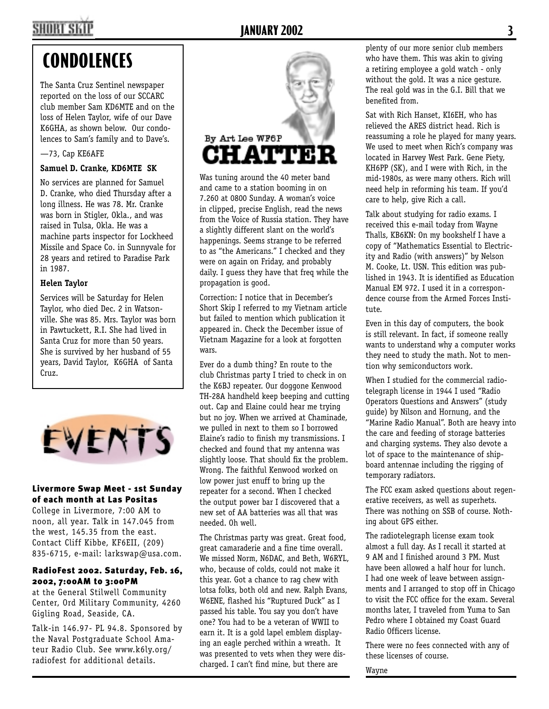# **SHORT SKI**

### **JANUARY 2002 3**

# **CONDOLENCES**

The Santa Cruz Sentinel newspaper reported on the loss of our SCCARC club member Sam KD6MTE and on the loss of Helen Taylor, wife of our Dave K6GHA, as shown below. Our condolences to Sam's family and to Dave's.

#### —73, Cap KE6AFE

#### **Samuel D. Cranke, KD6MTE SK**

No services are planned for Samuel D. Cranke, who died Thursday after a long illness. He was 78. Mr. Cranke was born in Stigler, Okla., and was raised in Tulsa, Okla. He was a machine parts inspector for Lockheed Missile and Space Co. in Sunnyvale for 28 years and retired to Paradise Park in 1987.

#### **Helen Taylor**

Services will be Saturday for Helen Taylor, who died Dec. 2 in Watsonville. She was 85. Mrs. Taylor was born in Pawtuckett, R.I. She had lived in Santa Cruz for more than 50 years. She is survived by her husband of 55 years, David Taylor, K6GHA of Santa Cruz.



#### Livermore Swap Meet - 1st Sunday of each month at Las Positas

College in Livermore, 7:00 AM to noon, all year. Talk in 147.045 from the west, 145.35 from the east. Contact Cliff Kibbe, KF6EII, (209) 835-6715, e-mail: larkswap@usa.com.

#### RadioFest 2002. Saturday, Feb. 16, 2002, 7:00AM to 3:00PM

at the General Stilwell Community Center, Ord Military Community, 4260 Gigling Road, Seaside, CA.

Talk-in 146.97- PL 94.8. Sponsored by the Naval Postgraduate School Amateur Radio Club. See www.k6ly.org/ radiofest for additional details.



Was tuning around the 40 meter band and came to a station booming in on 7.260 at 0800 Sunday. A woman's voice in clipped, precise English, read the news from the Voice of Russia station. They have a slightly different slant on the world's happenings. Seems strange to be referred to as "the Americans." I checked and they were on again on Friday, and probably daily. I guess they have that freq while the propagation is good.

Correction: I notice that in December's Short Skip I referred to my Vietnam article but failed to mention which publication it appeared in. Check the December issue of Vietnam Magazine for a look at forgotten wars.

Ever do a dumb thing? En route to the club Christmas party I tried to check in on the K6BJ repeater. Our doggone Kenwood TH-28A handheld keep beeping and cutting out. Cap and Elaine could hear me trying but no joy. When we arrived at Chaminade, we pulled in next to them so I borrowed Elaine's radio to finish my transmissions. I checked and found that my antenna was slightly loose. That should fix the problem. Wrong. The faithful Kenwood worked on low power just enuff to bring up the repeater for a second. When I checked the output power bar I discovered that a new set of AA batteries was all that was needed. Oh well.

The Christmas party was great. Great food, great camaraderie and a fine time overall. We missed Norm, N6DAC, and Beth, W6RYL, who, because of colds, could not make it this year. Got a chance to rag chew with lotsa folks, both old and new. Ralph Evans, W6ENE, flashed his "Ruptured Duck" as I passed his table. You say you don't have one? You had to be a veteran of WWII to earn it. It is a gold lapel emblem displaying an eagle perched within a wreath. It was presented to vets when they were discharged. I can't find mine, but there are

plenty of our more senior club members who have them. This was akin to giving a retiring employee a gold watch - only without the gold. It was a nice gesture. The real gold was in the G.I. Bill that we benefited from.

Sat with Rich Hanset, KI6EH, who has relieved the ARES district head. Rich is reassuming a role he played for many years. We used to meet when Rich's company was located in Harvey West Park. Gene Piety, KH6PP (SK), and I were with Rich, in the mid-1980s, as were many others. Rich will need help in reforming his team. If you'd care to help, give Rich a call.

Talk about studying for radio exams. I received this e-mail today from Wayne Thalls, KB6KN: On my bookshelf I have a copy of "Mathematics Essential to Electricity and Radio (with answers)" by Nelson M. Cooke, Lt. USN. This edition was published in 1943. It is identified as Education Manual EM 972. I used it in a correspondence course from the Armed Forces Institute.

Even in this day of computers, the book is still relevant. In fact, if someone really wants to understand why a computer works they need to study the math. Not to mention why semiconductors work.

When I studied for the commercial radiotelegraph license in 1944 I used "Radio Operators Questions and Answers" (study guide) by Nilson and Hornung, and the "Marine Radio Manual". Both are heavy into the care and feeding of storage batteries and charging systems. They also devote a lot of space to the maintenance of shipboard antennae including the rigging of temporary radiators.

The FCC exam asked questions about regenerative receivers, as well as superhets. There was nothing on SSB of course. Nothing about GPS either.

The radiotelegraph license exam took almost a full day. As I recall it started at 9 AM and I finished around 3 PM. Must have been allowed a half hour for lunch. I had one week of leave between assignments and I arranged to stop off in Chicago to visit the FCC office for the exam. Several months later, I traveled from Yuma to San Pedro where I obtained my Coast Guard Radio Officers license.

There were no fees connected with any of these licenses of course.

Wayne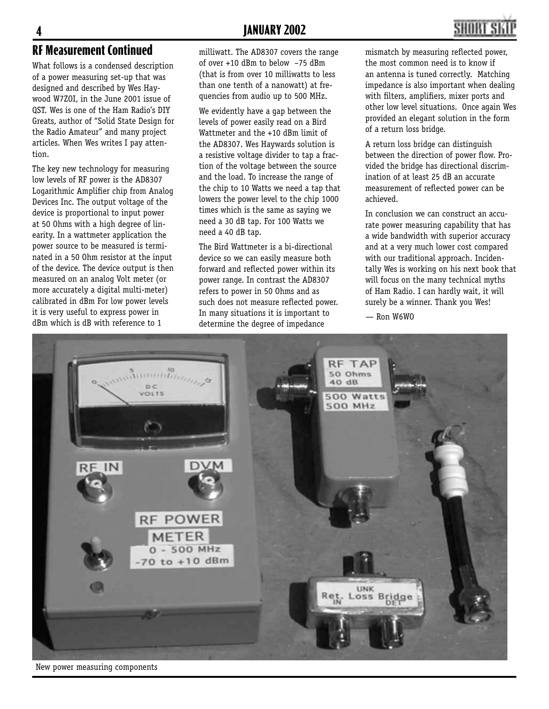

### **RF Measurement Continued**

What follows is a condensed description of a power measuring set-up that was designed and described by Wes Haywood W7ZOI, in the June 2001 issue of QST. Wes is one of the Ham Radio's DIY Greats, author of "Solid State Design for the Radio Amateur" and many project articles. When Wes writes I pay attention.

The key new technology for measuring low levels of RF power is the AD8307 Logarithmic Amplifier chip from Analog Devices Inc. The output voltage of the device is proportional to input power at 50 Ohms with a high degree of linearity. In a wattmeter application the power source to be measured is terminated in a 50 Ohm resistor at the input of the device. The device output is then measured on an analog Volt meter (or more accurately a digital multi-meter) calibrated in dBm For low power levels it is very useful to express power in dBm which is dB with reference to 1

milliwatt. The AD8307 covers the range of over +10 dBm to below –75 dBm (that is from over 10 milliwatts to less than one tenth of a nanowatt) at frequencies from audio up to 500 MHz.

We evidently have a gap between the levels of power easily read on a Bird Wattmeter and the +10 dBm limit of the AD8307. Wes Haywards solution is a resistive voltage divider to tap a fraction of the voltage between the source and the load. To increase the range of the chip to 10 Watts we need a tap that lowers the power level to the chip 1000 times which is the same as saying we need a 30 dB tap. For 100 Watts we need a 40 dB tap.

The Bird Wattmeter is a bi-directional device so we can easily measure both forward and reflected power within its power range. In contrast the AD8307 refers to power in 50 Ohms and as such does not measure reflected power. In many situations it is important to determine the degree of impedance

mismatch by measuring reflected power, the most common need is to know if an antenna is tuned correctly. Matching impedance is also important when dealing with filters, amplifiers, mixer ports and other low level situations. Once again Wes provided an elegant solution in the form of a return loss bridge.

A return loss bridge can distinguish between the direction of power flow. Provided the bridge has directional discrimination of at least 25 dB an accurate measurement of reflected power can be achieved.

In conclusion we can construct an accurate power measuring capability that has a wide bandwidth with superior accuracy and at a very much lower cost compared with our traditional approach. Incidentally Wes is working on his next book that will focus on the many technical myths of Ham Radio. I can hardly wait, it will surely be a winner. Thank you Wes!

— Ron W6WO



New power measuring components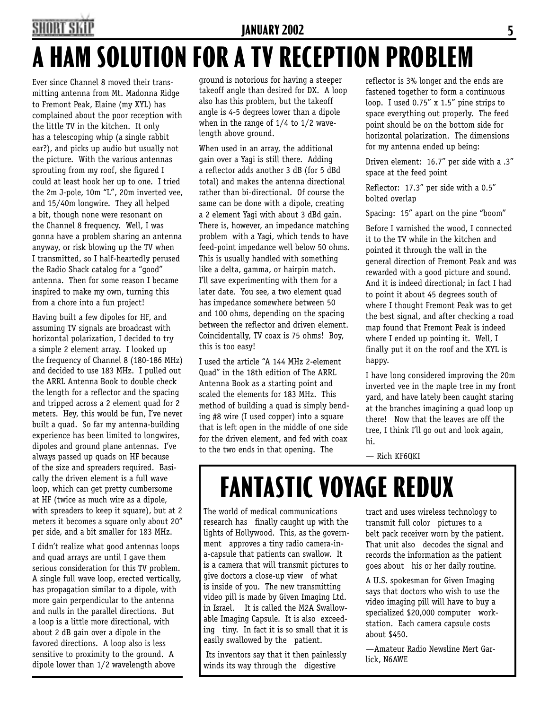## SHORT SKII **JANUARY 2002 5 A HAM SOLUTION FOR A TV RECEPTION PROBLEM**

Ever since Channel 8 moved their transmitting antenna from Mt. Madonna Ridge to Fremont Peak, Elaine (my XYL) has complained about the poor reception with the little TV in the kitchen. It only has a telescoping whip (a single rabbit ear?), and picks up audio but usually not the picture. With the various antennas sprouting from my roof, she figured I could at least hook her up to one. I tried the 2m J-pole, 10m "L", 20m inverted vee, and 15/40m longwire. They all helped a bit, though none were resonant on the Channel 8 frequency. Well, I was gonna have a problem sharing an antenna anyway, or risk blowing up the TV when I transmitted, so I half-heartedly perused the Radio Shack catalog for a "good" antenna. Then for some reason I became inspired to make my own, turning this from a chore into a fun project!

Having built a few dipoles for HF, and assuming TV signals are broadcast with horizontal polarization, I decided to try a simple 2 element array. I looked up the frequency of Channel 8 (180-186 MHz) and decided to use 183 MHz. I pulled out the ARRL Antenna Book to double check the length for a reflector and the spacing and tripped across a 2 element quad for 2 meters. Hey, this would be fun, I've never built a quad. So far my antenna-building experience has been limited to longwires, dipoles and ground plane antennas. I've always passed up quads on HF because of the size and spreaders required. Basically the driven element is a full wave loop, which can get pretty cumbersome at HF (twice as much wire as a dipole, with spreaders to keep it square), but at 2 meters it becomes a square only about 20" per side, and a bit smaller for 183 MHz.

I didn't realize what good antennas loops and quad arrays are until I gave them serious consideration for this TV problem. A single full wave loop, erected vertically, has propagation similar to a dipole, with more gain perpendicular to the antenna and nulls in the parallel directions. But a loop is a little more directional, with about 2 dB gain over a dipole in the favored directions. A loop also is less sensitive to proximity to the ground. A dipole lower than 1/2 wavelength above

ground is notorious for having a steeper takeoff angle than desired for DX. A loop also has this problem, but the takeoff angle is 4-5 degrees lower than a dipole when in the range of 1/4 to 1/2 wavelength above ground.

When used in an array, the additional gain over a Yagi is still there. Adding a reflector adds another 3 dB (for 5 dBd total) and makes the antenna directional rather than bi-directional. Of course the same can be done with a dipole, creating a 2 element Yagi with about 3 dBd gain. There is, however, an impedance matching problem with a Yagi, which tends to have feed-point impedance well below 50 ohms. This is usually handled with something like a delta, gamma, or hairpin match. I'll save experimenting with them for a later date. You see, a two element quad has impedance somewhere between 50 and 100 ohms, depending on the spacing between the reflector and driven element. Coincidentally, TV coax is 75 ohms! Boy, this is too easy!

I used the article "A 144 MHz 2-element Quad" in the 18th edition of The ARRL Antenna Book as a starting point and scaled the elements for 183 MHz. This method of building a quad is simply bending #8 wire (I used copper) into a square that is left open in the middle of one side for the driven element, and fed with coax to the two ends in that opening. The

reflector is 3% longer and the ends are fastened together to form a continuous loop. I used 0.75" x 1.5" pine strips to space everything out properly. The feed point should be on the bottom side for horizontal polarization. The dimensions for my antenna ended up being:

Driven element: 16.7" per side with a .3" space at the feed point

Reflector:  $17.3''$  per side with a  $0.5''$ bolted overlap

Spacing: 15" apart on the pine "boom"

Before I varnished the wood, I connected it to the TV while in the kitchen and pointed it through the wall in the general direction of Fremont Peak and was rewarded with a good picture and sound. And it is indeed directional; in fact I had to point it about 45 degrees south of where I thought Fremont Peak was to get the best signal, and after checking a road map found that Fremont Peak is indeed where I ended up pointing it. Well, I finally put it on the roof and the XYL is happy.

I have long considered improving the 20m inverted vee in the maple tree in my front yard, and have lately been caught staring at the branches imagining a quad loop up there! Now that the leaves are off the tree, I think I'll go out and look again, hi.

— Rich KF6QKI

# **FANTASTIC VOYAGE REDUX**

The world of medical communications research has finally caught up with the lights of Hollywood. This, as the government approves a tiny radio camera-ina-capsule that patients can swallow. It is a camera that will transmit pictures to give doctors a close-up view of what is inside of you. The new transmitting video pill is made by Given Imaging Ltd. in Israel. It is called the M2A Swallowable Imaging Capsule. It is also exceeding tiny. In fact it is so small that it is easily swallowed by the patient.

 Its inventors say that it then painlessly winds its way through the digestive

tract and uses wireless technology to transmit full color pictures to a belt pack receiver worn by the patient. That unit also decodes the signal and records the information as the patient goes about his or her daily routine.

A U.S. spokesman for Given Imaging says that doctors who wish to use the video imaging pill will have to buy a specialized \$20,000 computer workstation. Each camera capsule costs about \$450.

—Amateur Radio Newsline Mert Garlick, N6AWE